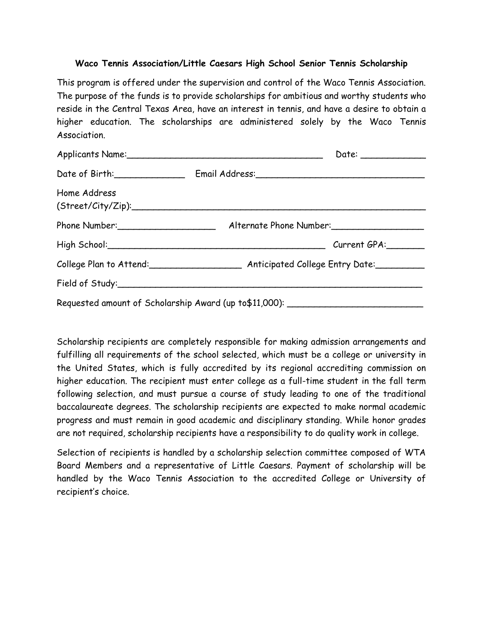### **Waco Tennis Association/Little Caesars High School Senior Tennis Scholarship**

This program is offered under the supervision and control of the Waco Tennis Association. The purpose of the funds is to provide scholarships for ambitious and worthy students who reside in the Central Texas Area, have an interest in tennis, and have a desire to obtain a higher education. The scholarships are administered solely by the Waco Tennis Association.

|                                                                                   |                                              | Date: ______________ |
|-----------------------------------------------------------------------------------|----------------------------------------------|----------------------|
|                                                                                   | Date of Birth: Email Address: Email Address: |                      |
| Home Address                                                                      | (Street/City/Zip):                           |                      |
|                                                                                   |                                              |                      |
|                                                                                   |                                              |                      |
|                                                                                   |                                              |                      |
|                                                                                   |                                              |                      |
| Requested amount of Scholarship Award (up to\$11,000): __________________________ |                                              |                      |

Scholarship recipients are completely responsible for making admission arrangements and fulfilling all requirements of the school selected, which must be a college or university in the United States, which is fully accredited by its regional accrediting commission on higher education. The recipient must enter college as a full-time student in the fall term following selection, and must pursue a course of study leading to one of the traditional baccalaureate degrees. The scholarship recipients are expected to make normal academic progress and must remain in good academic and disciplinary standing. While honor grades are not required, scholarship recipients have a responsibility to do quality work in college.

Selection of recipients is handled by a scholarship selection committee composed of WTA Board Members and a representative of Little Caesars. Payment of scholarship will be handled by the Waco Tennis Association to the accredited College or University of recipient's choice.